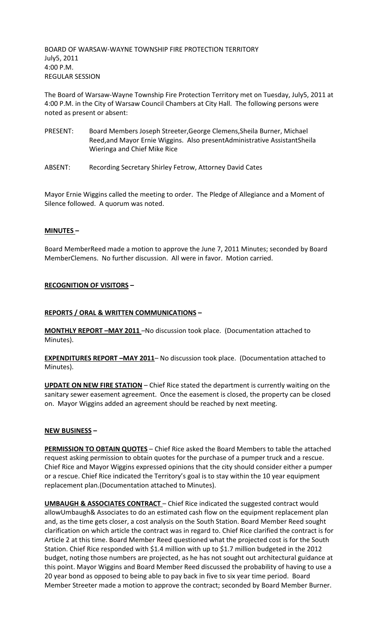BOARD OF WARSAW-WAYNE TOWNSHIP FIRE PROTECTION TERRITORY July5, 2011 4:00 P.M. REGULAR SESSION

The Board of Warsaw-Wayne Township Fire Protection Territory met on Tuesday, July5, 2011 at 4:00 P.M. in the City of Warsaw Council Chambers at City Hall. The following persons were noted as present or absent:

- PRESENT: Board Members Joseph Streeter,George Clemens,Sheila Burner, Michael Reed,and Mayor Ernie Wiggins. Also presentAdministrative AssistantSheila Wieringa and Chief Mike Rice
- ABSENT: Recording Secretary Shirley Fetrow, Attorney David Cates

Mayor Ernie Wiggins called the meeting to order. The Pledge of Allegiance and a Moment of Silence followed. A quorum was noted.

# **MINUTES –**

Board MemberReed made a motion to approve the June 7, 2011 Minutes; seconded by Board MemberClemens. No further discussion. All were in favor. Motion carried.

## **RECOGNITION OF VISITORS –**

## **REPORTS / ORAL & WRITTEN COMMUNICATIONS –**

**MONTHLY REPORT –MAY 2011** –No discussion took place. (Documentation attached to Minutes).

**EXPENDITURES REPORT –MAY 2011**– No discussion took place. (Documentation attached to Minutes).

**UPDATE ON NEW FIRE STATION** – Chief Rice stated the department is currently waiting on the sanitary sewer easement agreement. Once the easement is closed, the property can be closed on. Mayor Wiggins added an agreement should be reached by next meeting.

## **NEW BUSINESS –**

**PERMISSION TO OBTAIN QUOTES** – Chief Rice asked the Board Members to table the attached request asking permission to obtain quotes for the purchase of a pumper truck and a rescue. Chief Rice and Mayor Wiggins expressed opinions that the city should consider either a pumper or a rescue. Chief Rice indicated the Territory's goal is to stay within the 10 year equipment replacement plan.(Documentation attached to Minutes).

**UMBAUGH & ASSOCIATES CONTRACT** - Chief Rice indicated the suggested contract would allowUmbaugh& Associates to do an estimated cash flow on the equipment replacement plan and, as the time gets closer, a cost analysis on the South Station. Board Member Reed sought clarification on which article the contract was in regard to. Chief Rice clarified the contract is for Article 2 at this time. Board Member Reed questioned what the projected cost is for the South Station. Chief Rice responded with \$1.4 million with up to \$1.7 million budgeted in the 2012 budget, noting those numbers are projected, as he has not sought out architectural guidance at this point. Mayor Wiggins and Board Member Reed discussed the probability of having to use a 20 year bond as opposed to being able to pay back in five to six year time period. Board Member Streeter made a motion to approve the contract; seconded by Board Member Burner.